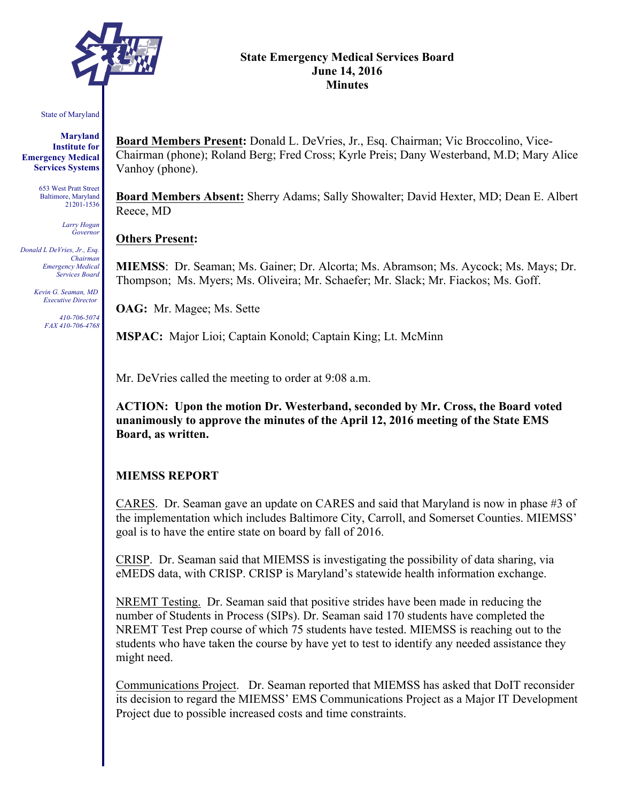

#### **State Emergency Medical Services Board June 14, 2016 Minutes**

#### State of Maryland

**Maryland Institute for Emergency Medical Services Systems**

> 653 West Pratt Street Baltimore, Maryland 21201-1536

> > *Larry Hogan Governor*

*Donald L DeVries, Jr., Esq. Chairman Emergency Medical Services Board*

> *Kevin G. Seaman, MD Executive Director*

> > *410-706-5074 FAX 410-706-4768*

**Board Members Present:** Donald L. DeVries, Jr., Esq. Chairman; Vic Broccolino, Vice-Chairman (phone); Roland Berg; Fred Cross; Kyrle Preis; Dany Westerband, M.D; Mary Alice Vanhoy (phone).

**Board Members Absent:** Sherry Adams; Sally Showalter; David Hexter, MD; Dean E. Albert Reece, MD

#### **Others Present:**

**MIEMSS**: Dr. Seaman; Ms. Gainer; Dr. Alcorta; Ms. Abramson; Ms. Aycock; Ms. Mays; Dr. Thompson; Ms. Myers; Ms. Oliveira; Mr. Schaefer; Mr. Slack; Mr. Fiackos; Ms. Goff.

**OAG:** Mr. Magee; Ms. Sette

**MSPAC:** Major Lioi; Captain Konold; Captain King; Lt. McMinn

Mr. DeVries called the meeting to order at 9:08 a.m.

**ACTION: Upon the motion Dr. Westerband, seconded by Mr. Cross, the Board voted unanimously to approve the minutes of the April 12, 2016 meeting of the State EMS Board, as written.**

### **MIEMSS REPORT**

CARES. Dr. Seaman gave an update on CARES and said that Maryland is now in phase #3 of the implementation which includes Baltimore City, Carroll, and Somerset Counties. MIEMSS' goal is to have the entire state on board by fall of 2016.

CRISP. Dr. Seaman said that MIEMSS is investigating the possibility of data sharing, via eMEDS data, with CRISP. CRISP is Maryland's statewide health information exchange.

NREMT Testing. Dr. Seaman said that positive strides have been made in reducing the number of Students in Process (SIPs). Dr. Seaman said 170 students have completed the NREMT Test Prep course of which 75 students have tested. MIEMSS is reaching out to the students who have taken the course by have yet to test to identify any needed assistance they might need.

Communications Project. Dr. Seaman reported that MIEMSS has asked that DoIT reconsider its decision to regard the MIEMSS' EMS Communications Project as a Major IT Development Project due to possible increased costs and time constraints.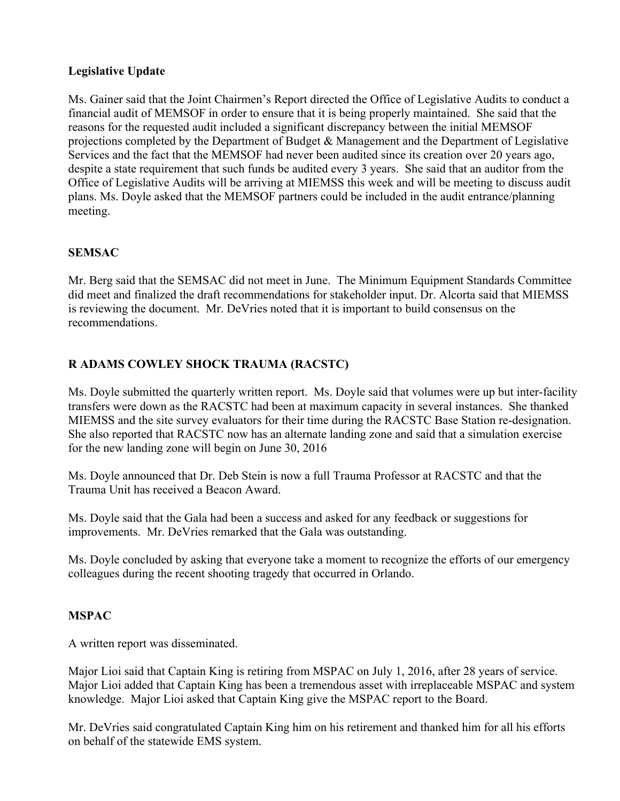# **Legislative Update**

Ms. Gainer said that the Joint Chairmen's Report directed the Office of Legislative Audits to conduct a financial audit of MEMSOF in order to ensure that it is being properly maintained. She said that the reasons for the requested audit included a significant discrepancy between the initial MEMSOF projections completed by the Department of Budget & Management and the Department of Legislative Services and the fact that the MEMSOF had never been audited since its creation over 20 years ago, despite a state requirement that such funds be audited every 3 years. She said that an auditor from the Office of Legislative Audits will be arriving at MIEMSS this week and will be meeting to discuss audit plans. Ms. Doyle asked that the MEMSOF partners could be included in the audit entrance/planning meeting.

# **SEMSAC**

Mr. Berg said that the SEMSAC did not meet in June. The Minimum Equipment Standards Committee did meet and finalized the draft recommendations for stakeholder input. Dr. Alcorta said that MIEMSS is reviewing the document. Mr. DeVries noted that it is important to build consensus on the recommendations.

# **R ADAMS COWLEY SHOCK TRAUMA (RACSTC)**

Ms. Doyle submitted the quarterly written report. Ms. Doyle said that volumes were up but inter-facility transfers were down as the RACSTC had been at maximum capacity in several instances. She thanked MIEMSS and the site survey evaluators for their time during the RACSTC Base Station re-designation. She also reported that RACSTC now has an alternate landing zone and said that a simulation exercise for the new landing zone will begin on June 30, 2016

Ms. Doyle announced that Dr. Deb Stein is now a full Trauma Professor at RACSTC and that the Trauma Unit has received a Beacon Award.

Ms. Doyle said that the Gala had been a success and asked for any feedback or suggestions for improvements. Mr. DeVries remarked that the Gala was outstanding.

Ms. Doyle concluded by asking that everyone take a moment to recognize the efforts of our emergency colleagues during the recent shooting tragedy that occurred in Orlando.

# **MSPAC**

A written report was disseminated.

Major Lioi said that Captain King is retiring from MSPAC on July 1, 2016, after 28 years of service. Major Lioi added that Captain King has been a tremendous asset with irreplaceable MSPAC and system knowledge. Major Lioi asked that Captain King give the MSPAC report to the Board.

Mr. DeVries said congratulated Captain King him on his retirement and thanked him for all his efforts on behalf of the statewide EMS system.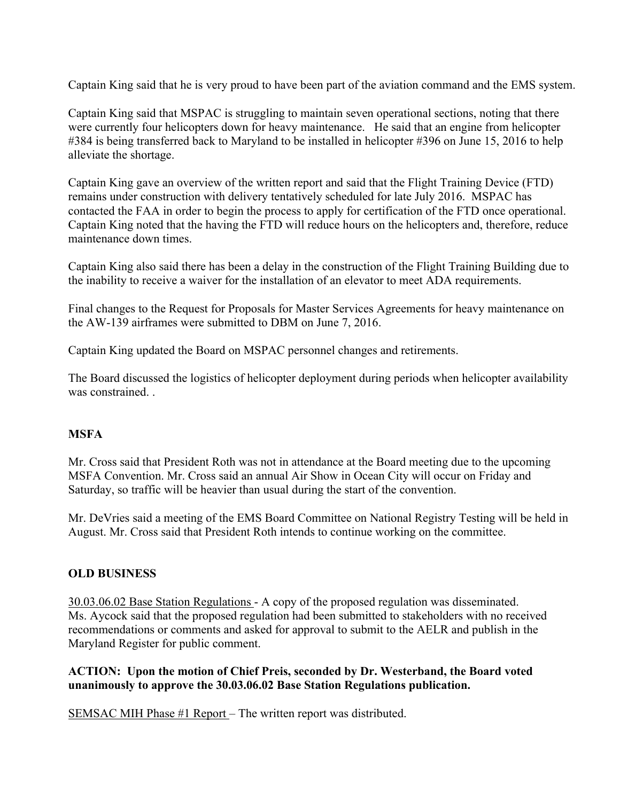Captain King said that he is very proud to have been part of the aviation command and the EMS system.

Captain King said that MSPAC is struggling to maintain seven operational sections, noting that there were currently four helicopters down for heavy maintenance. He said that an engine from helicopter #384 is being transferred back to Maryland to be installed in helicopter #396 on June 15, 2016 to help alleviate the shortage.

Captain King gave an overview of the written report and said that the Flight Training Device (FTD) remains under construction with delivery tentatively scheduled for late July 2016. MSPAC has contacted the FAA in order to begin the process to apply for certification of the FTD once operational. Captain King noted that the having the FTD will reduce hours on the helicopters and, therefore, reduce maintenance down times.

Captain King also said there has been a delay in the construction of the Flight Training Building due to the inability to receive a waiver for the installation of an elevator to meet ADA requirements.

Final changes to the Request for Proposals for Master Services Agreements for heavy maintenance on the AW-139 airframes were submitted to DBM on June 7, 2016.

Captain King updated the Board on MSPAC personnel changes and retirements.

The Board discussed the logistics of helicopter deployment during periods when helicopter availability was constrained. .

# **MSFA**

Mr. Cross said that President Roth was not in attendance at the Board meeting due to the upcoming MSFA Convention. Mr. Cross said an annual Air Show in Ocean City will occur on Friday and Saturday, so traffic will be heavier than usual during the start of the convention.

Mr. DeVries said a meeting of the EMS Board Committee on National Registry Testing will be held in August. Mr. Cross said that President Roth intends to continue working on the committee.

### **OLD BUSINESS**

30.03.06.02 Base Station Regulations - A copy of the proposed regulation was disseminated. Ms. Aycock said that the proposed regulation had been submitted to stakeholders with no received recommendations or comments and asked for approval to submit to the AELR and publish in the Maryland Register for public comment.

### **ACTION: Upon the motion of Chief Preis, seconded by Dr. Westerband, the Board voted unanimously to approve the 30.03.06.02 Base Station Regulations publication.**

SEMSAC MIH Phase #1 Report – The written report was distributed.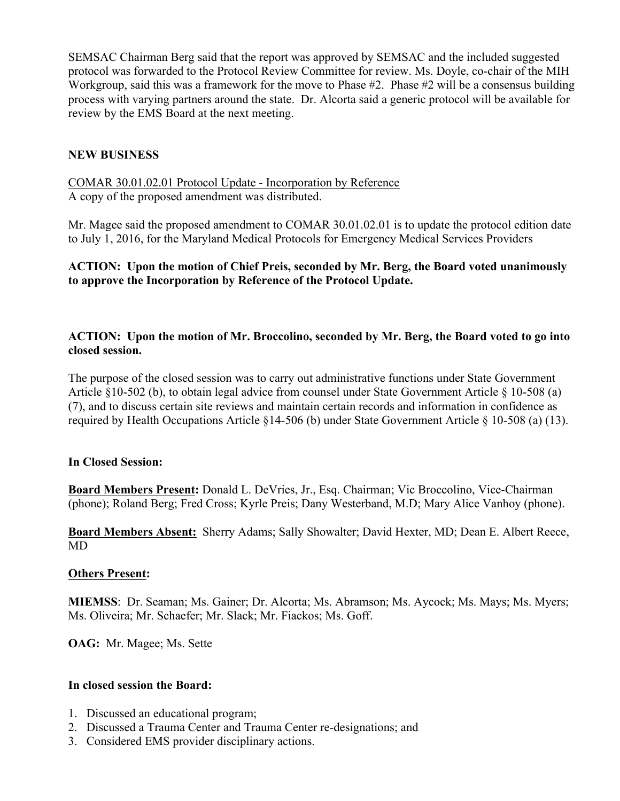SEMSAC Chairman Berg said that the report was approved by SEMSAC and the included suggested protocol was forwarded to the Protocol Review Committee for review. Ms. Doyle, co-chair of the MIH Workgroup, said this was a framework for the move to Phase #2. Phase #2 will be a consensus building process with varying partners around the state. Dr. Alcorta said a generic protocol will be available for review by the EMS Board at the next meeting.

# **NEW BUSINESS**

COMAR 30.01.02.01 Protocol Update - Incorporation by Reference A copy of the proposed amendment was distributed.

Mr. Magee said the proposed amendment to COMAR 30.01.02.01 is to update the protocol edition date to July 1, 2016, for the Maryland Medical Protocols for Emergency Medical Services Providers

### **ACTION: Upon the motion of Chief Preis, seconded by Mr. Berg, the Board voted unanimously to approve the Incorporation by Reference of the Protocol Update.**

# **ACTION: Upon the motion of Mr. Broccolino, seconded by Mr. Berg, the Board voted to go into closed session.**

The purpose of the closed session was to carry out administrative functions under State Government Article §10-502 (b), to obtain legal advice from counsel under State Government Article § 10-508 (a) (7), and to discuss certain site reviews and maintain certain records and information in confidence as required by Health Occupations Article §14-506 (b) under State Government Article § 10-508 (a) (13).

# **In Closed Session:**

**Board Members Present:** Donald L. DeVries, Jr., Esq. Chairman; Vic Broccolino, Vice-Chairman (phone); Roland Berg; Fred Cross; Kyrle Preis; Dany Westerband, M.D; Mary Alice Vanhoy (phone).

**Board Members Absent:** Sherry Adams; Sally Showalter; David Hexter, MD; Dean E. Albert Reece, MD

### **Others Present:**

**MIEMSS**: Dr. Seaman; Ms. Gainer; Dr. Alcorta; Ms. Abramson; Ms. Aycock; Ms. Mays; Ms. Myers; Ms. Oliveira; Mr. Schaefer; Mr. Slack; Mr. Fiackos; Ms. Goff.

**OAG:** Mr. Magee; Ms. Sette

### **In closed session the Board:**

- 1. Discussed an educational program;
- 2. Discussed a Trauma Center and Trauma Center re-designations; and
- 3. Considered EMS provider disciplinary actions.